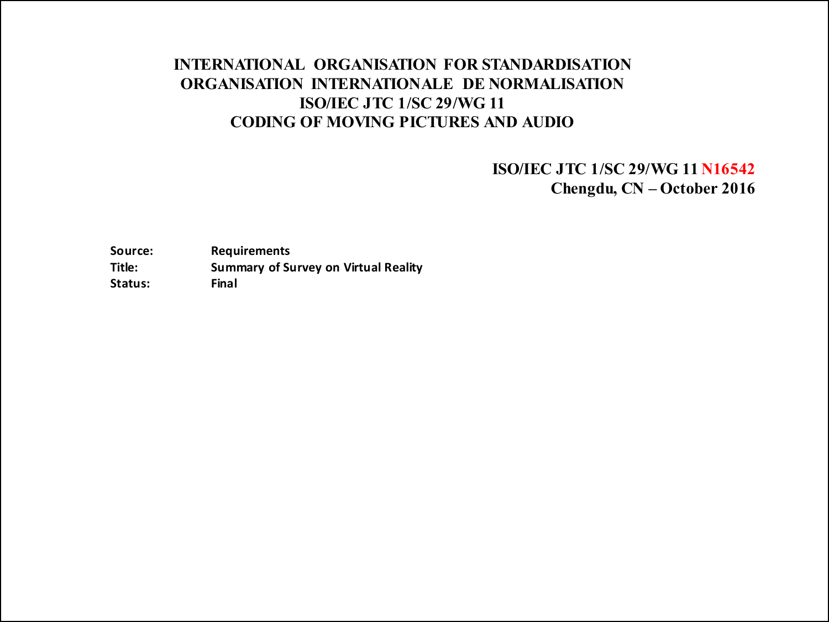### INTERNATIONAL ORGANISATION FOR STANDARDISATION ORGANISATION INTERNATIONALE DE NORMALISATION ISO/IEC JTC 1/SC 29/WG 11 CODING OF MOVING PICTURES AND AUDIO

ISO/IEC JTC 1/SC 29/WG 11 N16542 Chengdu, CN – October 2016

**Source: Requirements Title: Summary of Survey on Virtual Reality Status: Final**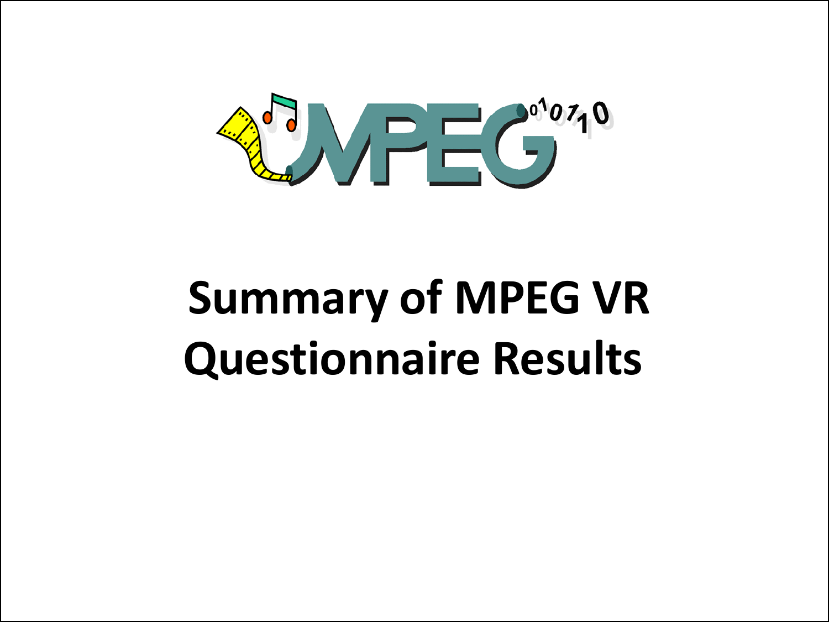

# **Summary of MPEG VR Questionnaire Results**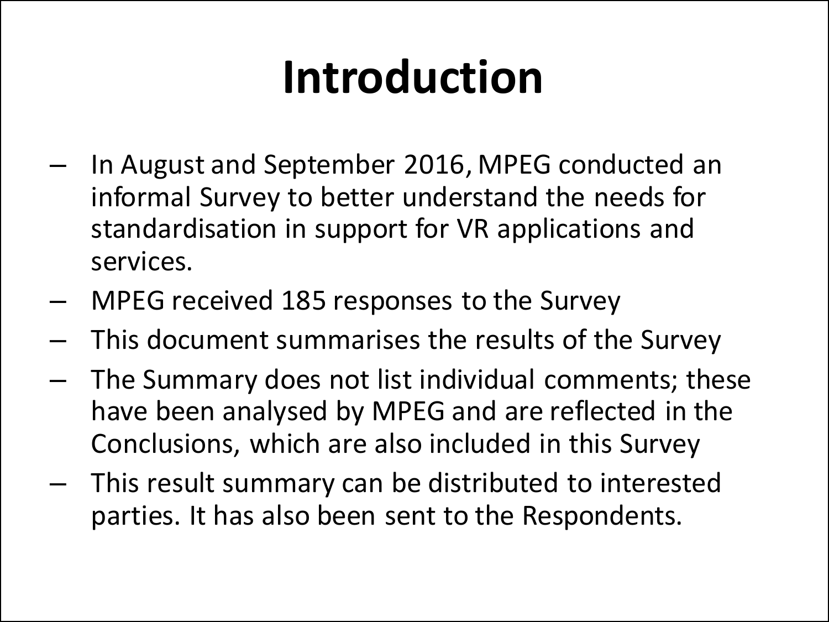## **Introduction**

- In August and September 2016, MPEG conducted an informal Survey to better understand the needs for standardisation in support for VR applications and services.
- MPEG received 185 responses to the Survey
- This document summarises the results of the Survey
- The Summary does not list individual comments; these have been analysed by MPEG and are reflected in the Conclusions, which are also included in this Survey
- This result summary can be distributed to interested parties. It has also been sent to the Respondents.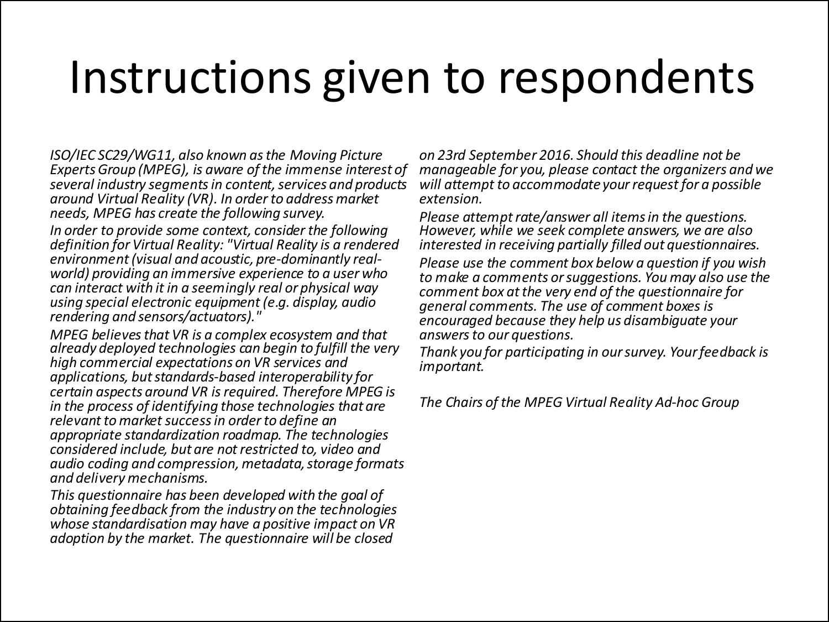## Instructions given to respondents

*ISO/IEC SC29/WG11, also known as the Moving Picture Experts Group (MPEG), is aware of the immense interest of several industry segments in content, services and products around Virtual Reality (VR). In order to address market needs, MPEG has create the following survey.*

*In order to provide some context, consider the following definition for Virtual Reality: "Virtual Reality is a rendered environment (visual and acoustic, pre-dominantly real- world) providing an immersive experience to a user who can interact with it in a seemingly real or physical way using special electronic equipment (e.g. display, audio rendering and sensors/actuators)."*

*MPEG believes that VR is a complex ecosystem and that already deployed technologies can begin to fulfill the very high commercial expectations on VR services and applications, but standards-based interoperability for certain aspects around VR is required. Therefore MPEG is in the process of identifying those technologies that are relevant to market success in order to define an appropriate standardization roadmap. The technologies considered include, but are not restricted to, video and audio coding and compression, metadata, storage formats and delivery mechanisms.*

*This questionnaire has been developed with the goal of obtaining feedback from the industry on the technologies whose standardisation may have a positive impact on VR adoption by the market. The questionnaire will be closed* 

*on 23rd September 2016. Should this deadline not be manageable for you, please contact the organizers and we will attempt to accommodate your request for a possible extension.*

*Please attempt rate/answer all items in the questions. However, while we seek complete answers, we are also interested in receiving partially filled out questionnaires.*

*Please use the comment box below a question if you wish to make a comments or suggestions. You may also use the comment box at the very end of the questionnaire for general comments. The use of comment boxes is encouraged because they help us disambiguate your answers to our questions.*

*Thank you for participating in our survey. Your feedback is important.*

*The Chairs of the MPEG Virtual Reality Ad-hoc Group*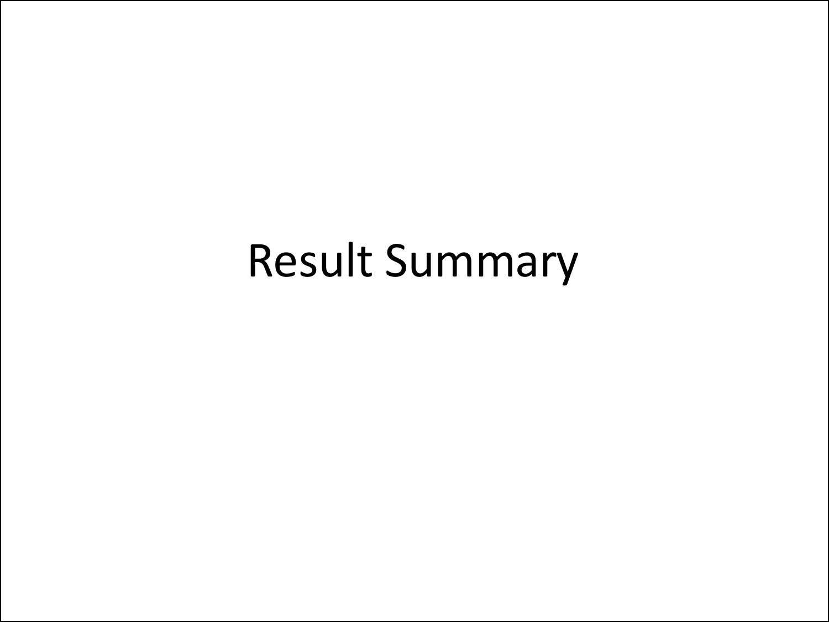## Result Summary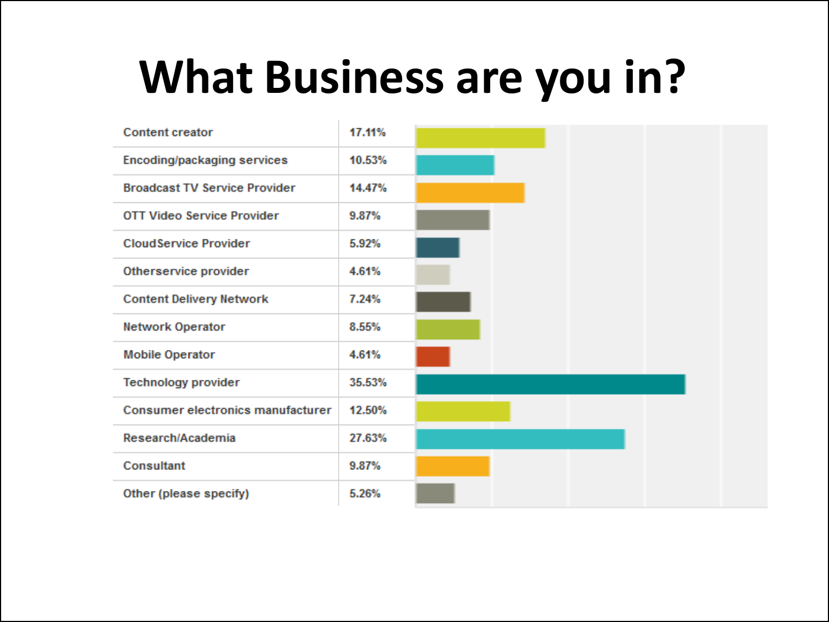## **What Business are you in?**

| <b>Content creator</b>               | 17.11% |  |  |
|--------------------------------------|--------|--|--|
| <b>Encoding/packaging services</b>   | 10.53% |  |  |
| <b>Broadcast TV Service Provider</b> | 14.47% |  |  |
| <b>OTT Video Service Provider</b>    | 9.87%  |  |  |
| <b>CloudService Provider</b>         | 5.92%  |  |  |
| Otherservice provider                | 4.61%  |  |  |
| <b>Content Delivery Network</b>      | 7.24%  |  |  |
| <b>Network Operator</b>              | 8.55%  |  |  |
| <b>Mobile Operator</b>               | 4.61%  |  |  |
| <b>Technology provider</b>           | 35.53% |  |  |
| Consumer electronics manufacturer    | 12.50% |  |  |
| Research/Academia                    | 27.63% |  |  |
| <b>Consultant</b>                    | 9.87%  |  |  |
| Other (please specify)               | 5.26%  |  |  |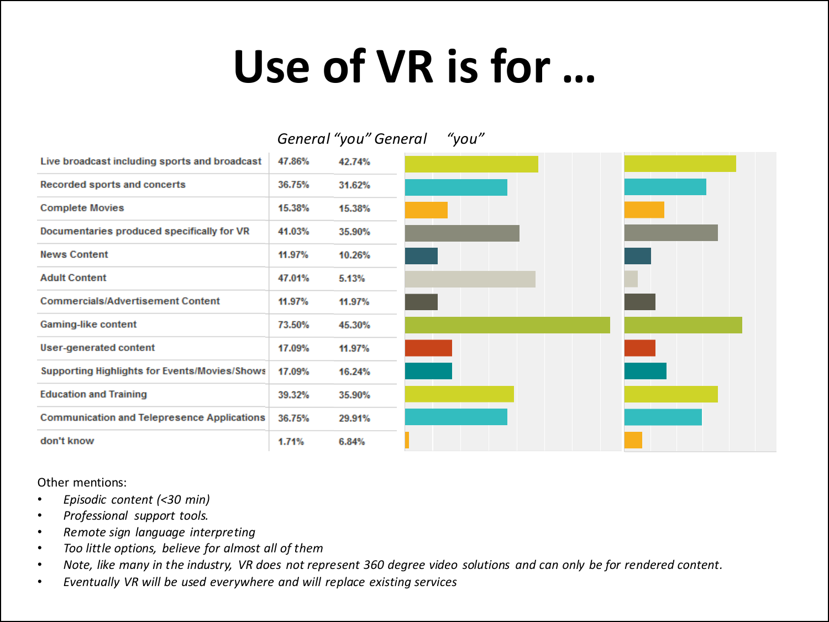## **Use of VR is for …**

|                                                      |        | General "you" General |
|------------------------------------------------------|--------|-----------------------|
| Live broadcast including sports and broadcast        | 47.86% | 42.74%                |
| Recorded sports and concerts                         | 36.75% | 31.62%                |
| <b>Complete Movies</b>                               | 15.38% | 15.38%                |
| Documentaries produced specifically for VR           | 41.03% | 35.90%                |
| <b>News Content</b>                                  | 11.97% | 10.26%                |
| <b>Adult Content</b>                                 | 47.01% | 5.13%                 |
| <b>Commercials/Advertisement Content</b>             | 11.97% | 11.97%                |
| Gaming-like content                                  | 73.50% | 45.30%                |
| <b>User-generated content</b>                        | 17.09% | 11.97%                |
| <b>Supporting Highlights for Events/Movies/Shows</b> | 17.09% | 16.24%                |
| <b>Education and Training</b>                        | 39.32% | 35.90%                |
| <b>Communication and Telepresence Applications</b>   | 36.75% | 29.91%                |
| don't know                                           | 1.71%  | 6.84%                 |

Other mentions:

- *Episodic content (<30 min)*
- *Professional support tools.*
- *Remote sign language interpreting*
- *Too little options, believe for almost all of them*
- *Note, like many in the industry, VR does not represent 360 degree video solutions and can only be for rendered content.*
- *Eventually VR will be used everywhere and will replace existing services*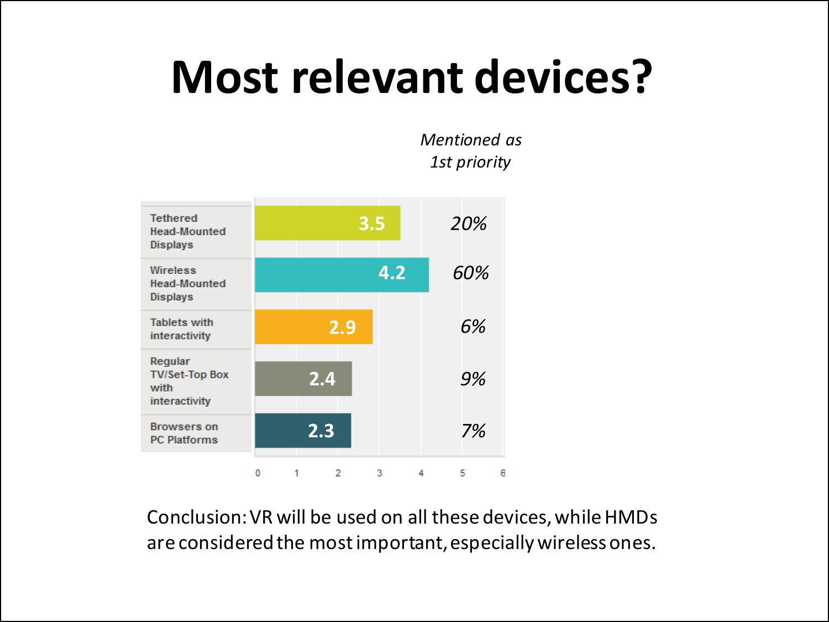## **Most relevant devices?**

*Mentioned as 1st priority*



Conclusion: VR will be used on all these devices, while HMDs are considered the most important, especially wireless ones.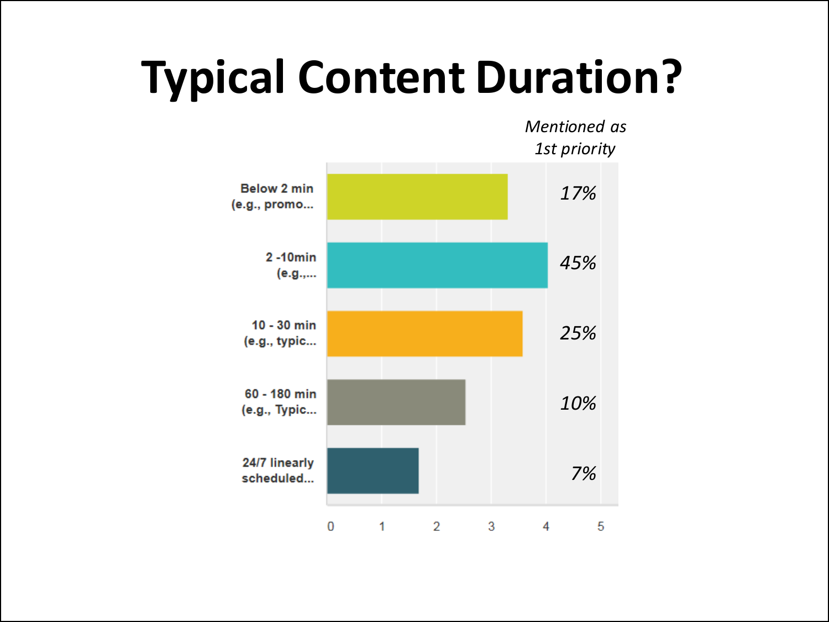## **Typical Content Duration?**

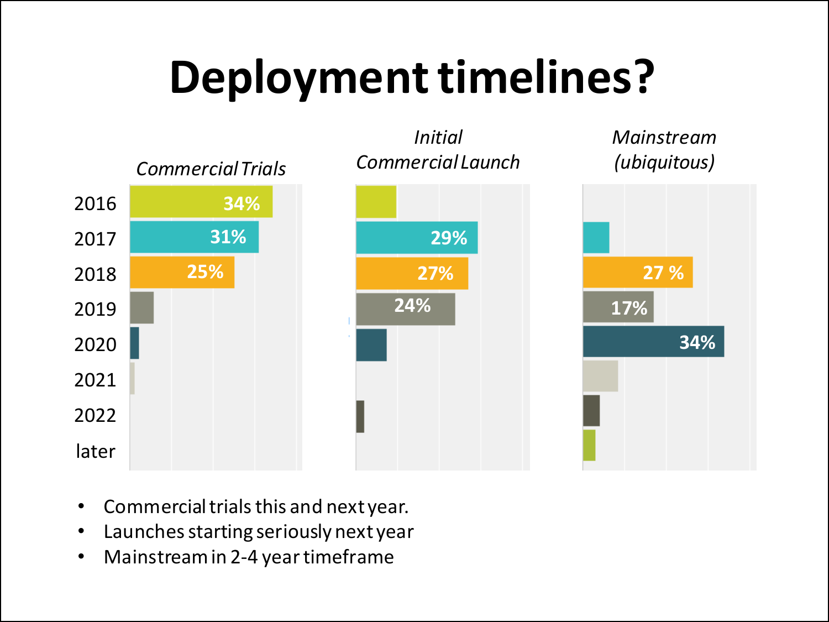## **Deployment timelines?**



- Commercial trials this and next year.
- Launches starting seriously next year
- Mainstream in 2-4 year timeframe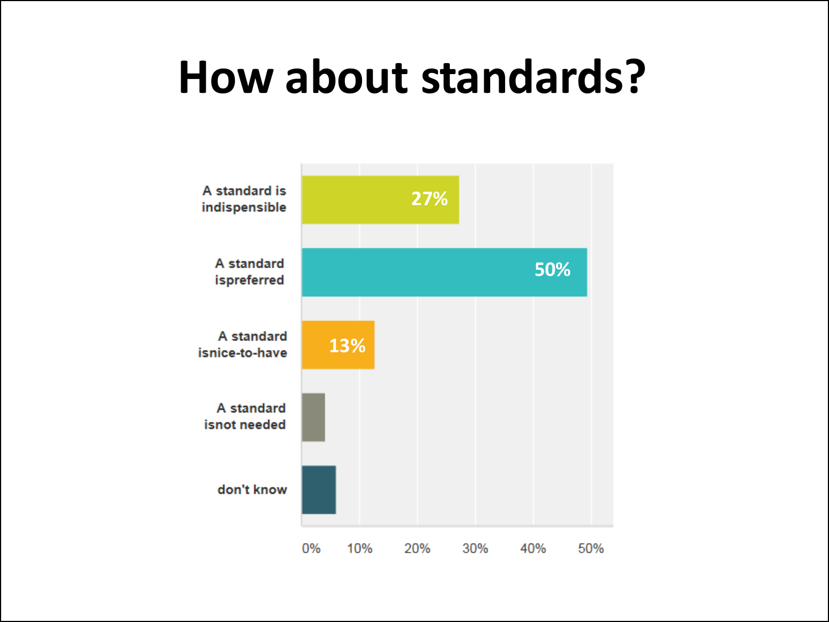## **How about standards?**

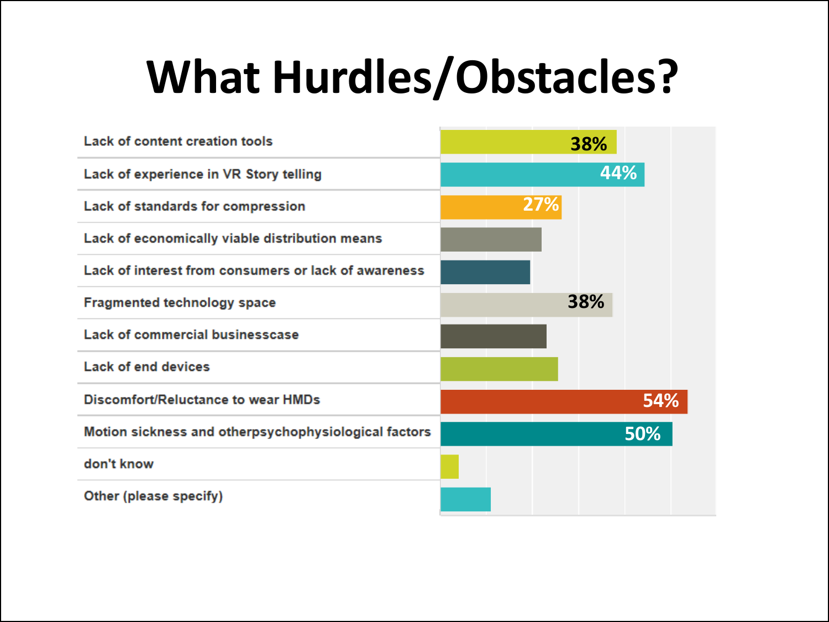# **What Hurdles/Obstacles?**

| Lack of content creation tools                       | 38%        |
|------------------------------------------------------|------------|
| Lack of experience in VR Story telling               | 44%        |
| Lack of standards for compression                    | 27%        |
| Lack of economically viable distribution means       |            |
| Lack of interest from consumers or lack of awareness |            |
| <b>Fragmented technology space</b>                   | 38%        |
| Lack of commercial businesscase                      |            |
| <b>Lack of end devices</b>                           |            |
| <b>Discomfort/Reluctance to wear HMDs</b>            | <b>54%</b> |
| Motion sickness and otherpsychophysiological factors | 50%        |
| don't know                                           |            |
| Other (please specify)                               |            |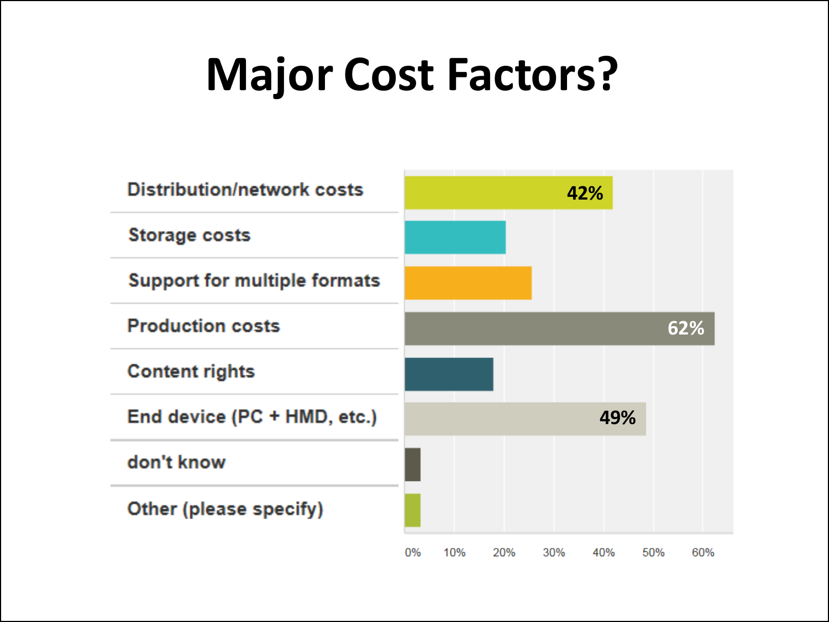## **Major Cost Factors?**

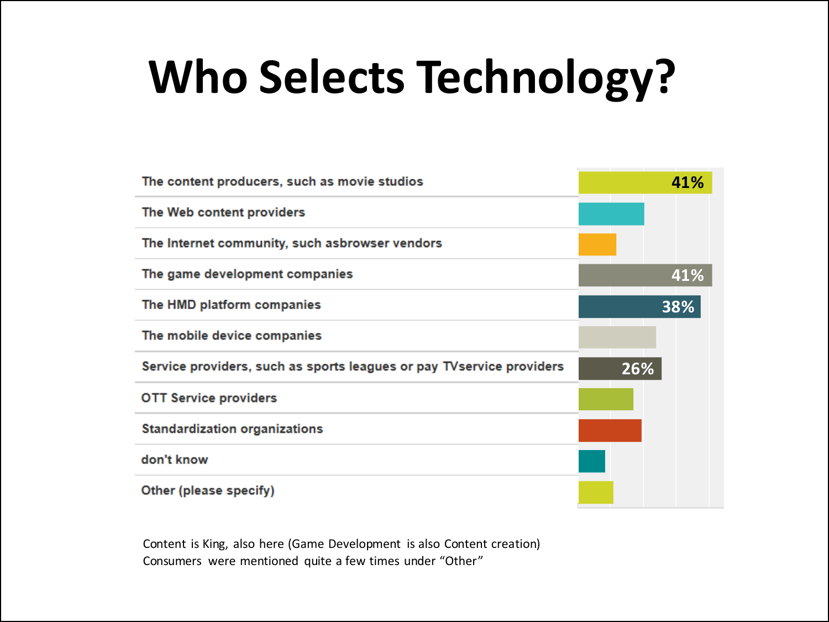# **Who Selects Technology?**

| The content producers, such as movie studios                          | 41% |
|-----------------------------------------------------------------------|-----|
| The Web content providers                                             |     |
| The Internet community, such asbrowser vendors                        |     |
| The game development companies                                        | 41% |
| The HMD platform companies                                            | 38% |
| The mobile device companies                                           |     |
| Service providers, such as sports leagues or pay TV service providers | 26% |
| <b>OTT Service providers</b>                                          |     |
| <b>Standardization organizations</b>                                  |     |
| don't know                                                            |     |
| Other (please specify)                                                |     |

Content is King, also here (Game Development is also Content creation) Consumers were mentioned quite a few times under "Other"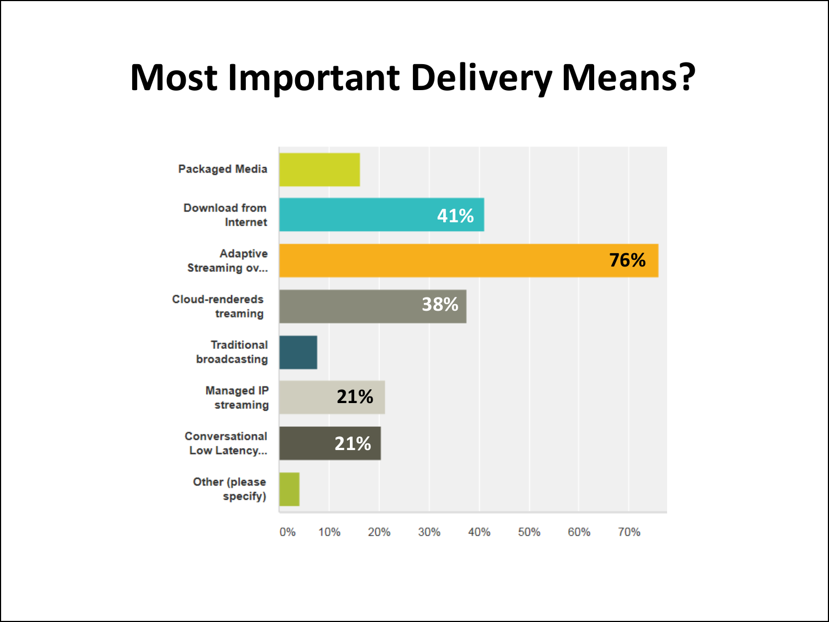## **Most Important Delivery Means?**

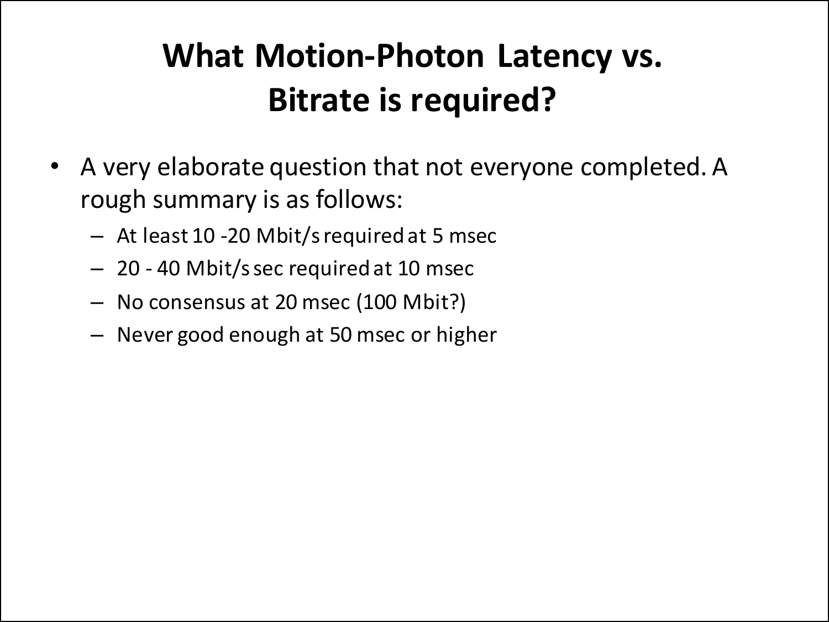### **What Motion-Photon Latency vs. Bitrate is required?**

- A very elaborate question that not everyone completed. A rough summary is as follows:
	- At least 10 -20 Mbit/s required at 5 msec
	- 20 40 Mbit/s sec required at 10 msec
	- No consensus at 20 msec (100 Mbit?)
	- Never good enough at 50 msec or higher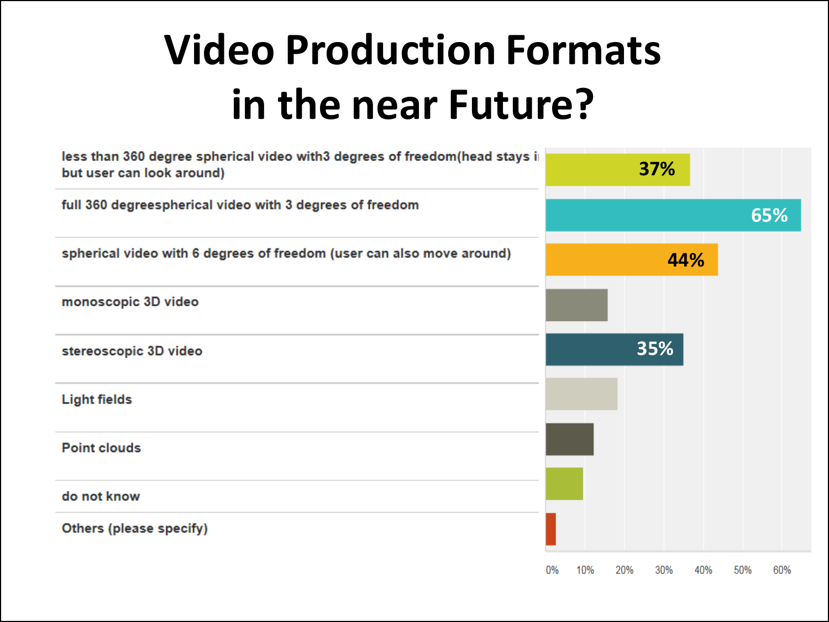## **Video Production Formats in the near Future?**

| less than 360 degree spherical video with3 degrees of freedom(head stays in<br>but user can look around) |    |     |     | 37% |     |     |     |
|----------------------------------------------------------------------------------------------------------|----|-----|-----|-----|-----|-----|-----|
| full 360 degreespherical video with 3 degrees of freedom                                                 |    |     |     |     |     |     | 65% |
| spherical video with 6 degrees of freedom (user can also move around)                                    |    |     |     |     | 44% |     |     |
| monoscopic 3D video                                                                                      |    |     |     |     |     |     |     |
| stereoscopic 3D video                                                                                    |    |     |     | 35% |     |     |     |
| <b>Light fields</b>                                                                                      |    |     |     |     |     |     |     |
| <b>Point clouds</b>                                                                                      |    |     |     |     |     |     |     |
| do not know                                                                                              |    |     |     |     |     |     |     |
| Others (please specify)                                                                                  |    |     |     |     |     |     |     |
|                                                                                                          | 0% | 10% | 20% | 30% | 40% | 50% | 60% |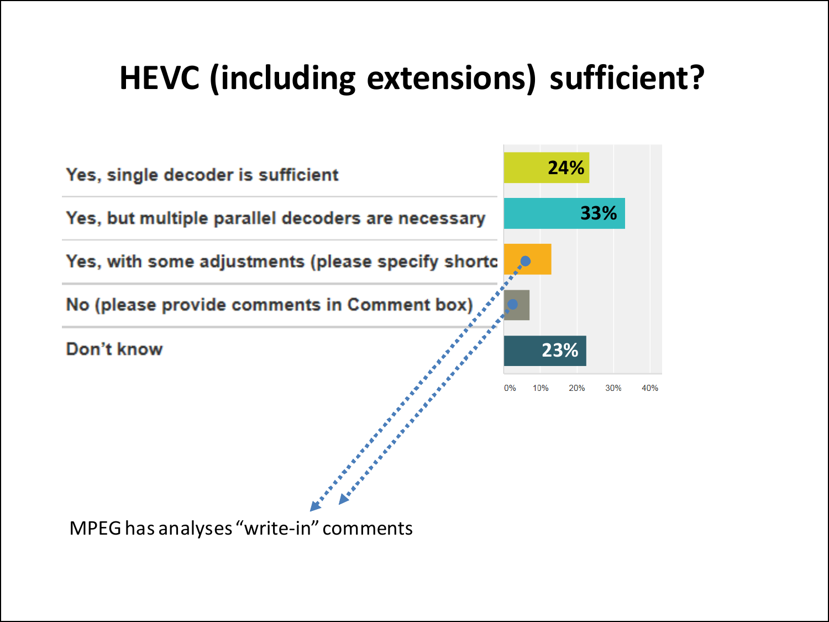### **HEVC (including extensions) sufficient?**



MPEG has analyses "write-in" comments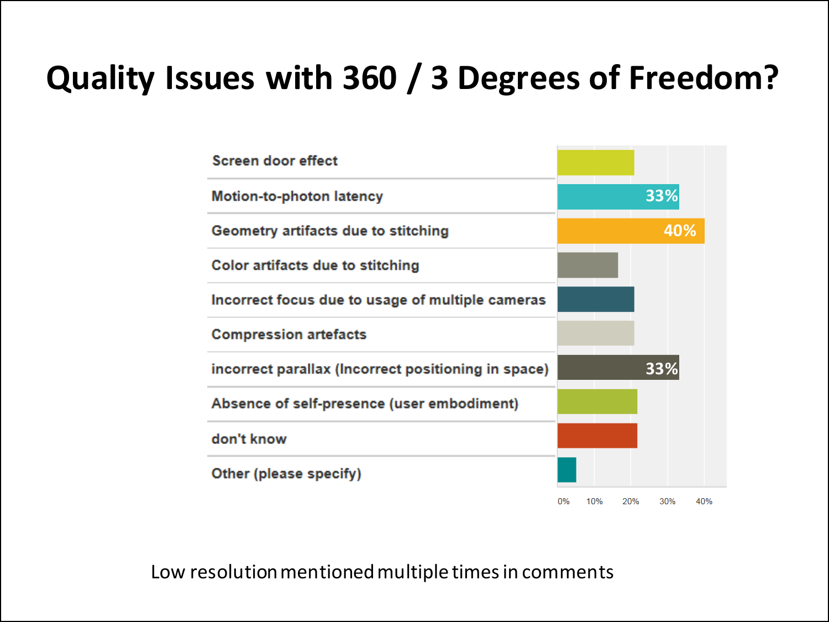### **Quality Issues with 360 / 3 Degrees of Freedom?**

| <b>Screen door effect</b>                           |    |     |     |            |
|-----------------------------------------------------|----|-----|-----|------------|
| <b>Motion-to-photon latency</b>                     |    |     |     | 33%        |
| Geometry artifacts due to stitching                 |    |     |     | 40%        |
| <b>Color artifacts due to stitching</b>             |    |     |     |            |
| Incorrect focus due to usage of multiple cameras    |    |     |     |            |
| <b>Compression artefacts</b>                        |    |     |     |            |
| incorrect parallax (Incorrect positioning in space) |    |     |     | 33%        |
| Absence of self-presence (user embodiment)          |    |     |     |            |
| don't know                                          |    |     |     |            |
| Other (please specify)                              |    |     |     |            |
|                                                     | 0% | 10% | 20% | 30%<br>40% |

Low resolution mentioned multiple times in comments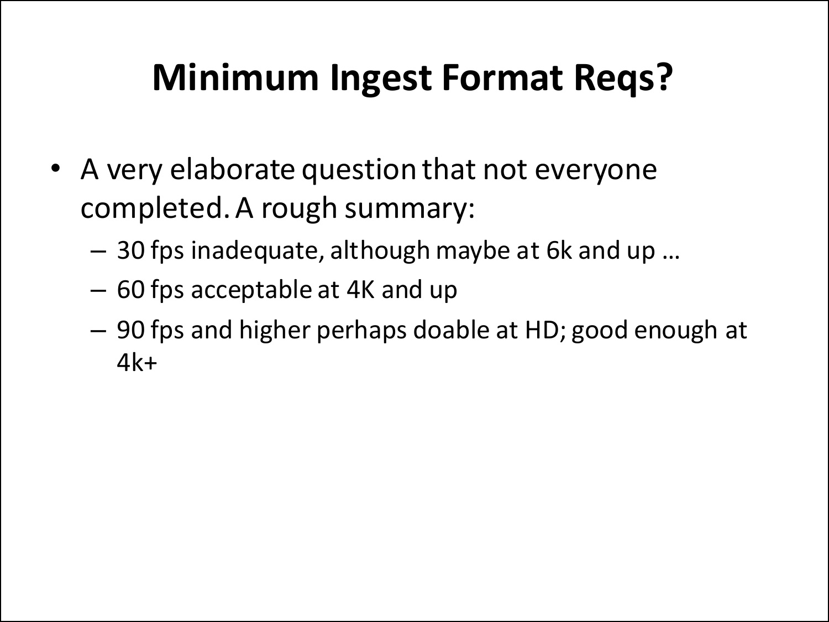## **Minimum Ingest Format Reqs?**

- A very elaborate question that not everyone completed. A rough summary:
	- 30 fps inadequate, although maybe at 6k and up …
	- 60 fps acceptable at 4K and up
	- 90 fps and higher perhaps doable at HD; good enough at 4k+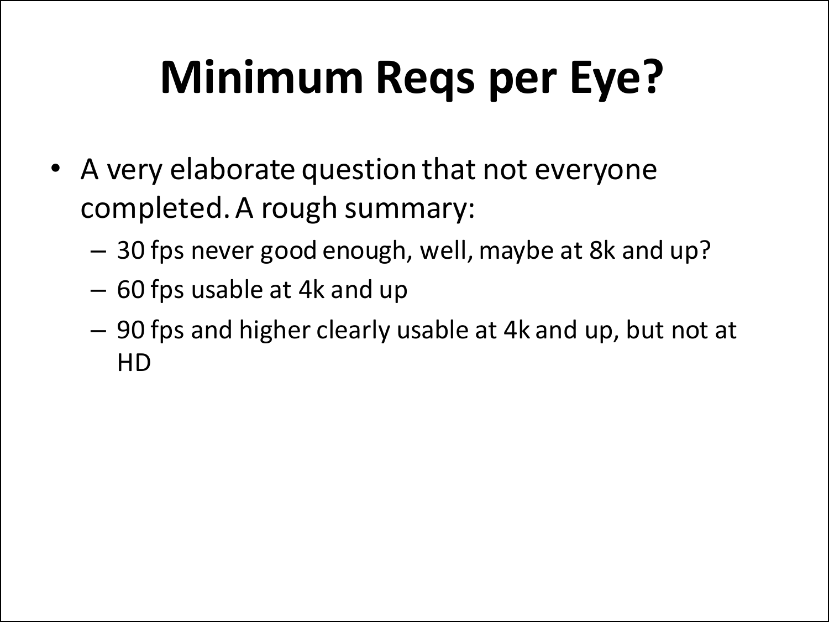# **Minimum Reqs per Eye?**

- A very elaborate question that not everyone completed. A rough summary:
	- 30 fps never good enough, well, maybe at 8k and up?
	- 60 fps usable at 4k and up
	- 90 fps and higher clearly usable at 4k and up, but not at HD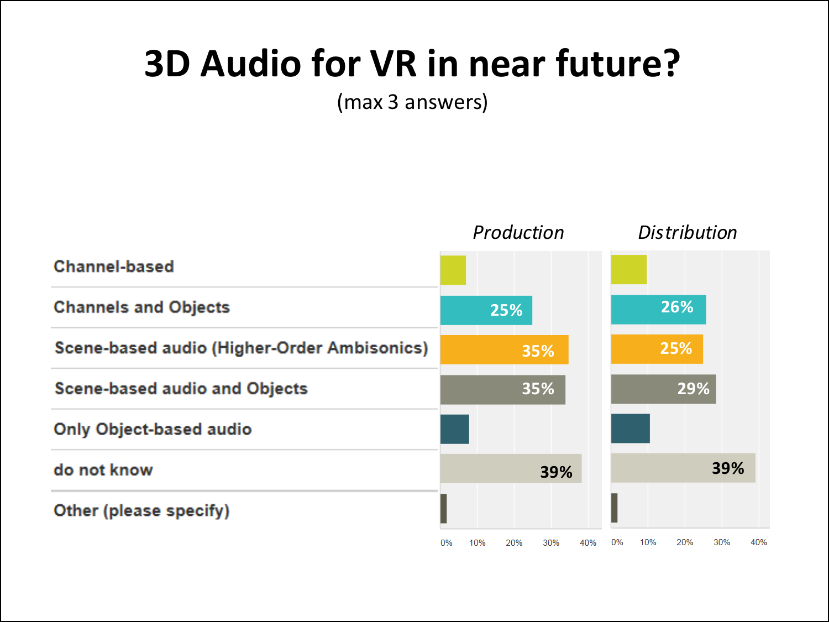## **3D Audio for VR in near future?**

(max 3 answers)

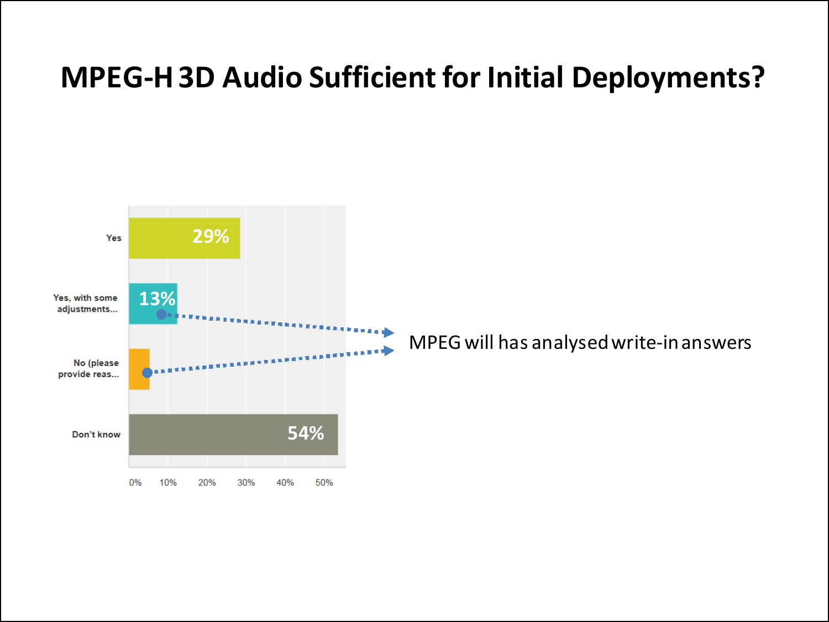### **MPEG-H 3D Audio Sufficient for Initial Deployments?**



MPEG will has analysedwrite-in answers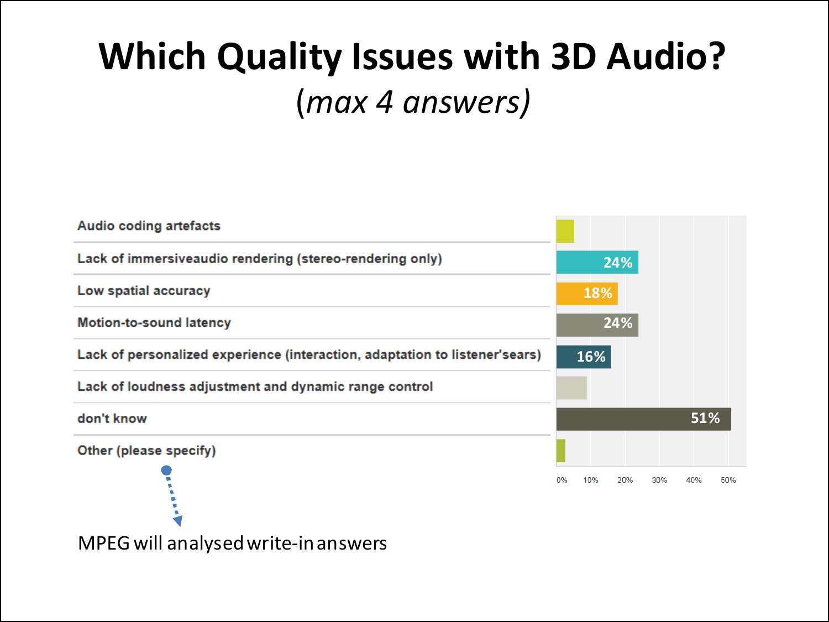## **Which Quality Issues with 3D Audio?**  (*max 4 answers)*

| <b>Audio coding artefacts</b>                                               |                         |            |
|-----------------------------------------------------------------------------|-------------------------|------------|
| Lack of immersiveaudio rendering (stereo-rendering only)                    | 24%                     |            |
| Low spatial accuracy                                                        | 18%                     |            |
| <b>Motion-to-sound latency</b>                                              | 24%                     |            |
| Lack of personalized experience (interaction, adaptation to listener'sears) | 16%                     |            |
| Lack of loudness adjustment and dynamic range control                       |                         |            |
| don't know                                                                  |                         | 51%        |
| Other (please specify)                                                      |                         |            |
|                                                                             | 0%<br>10%<br>20%<br>30% | 50%<br>40% |

MPEG will analysedwrite-in answers

 $\blacksquare$  $\blacksquare$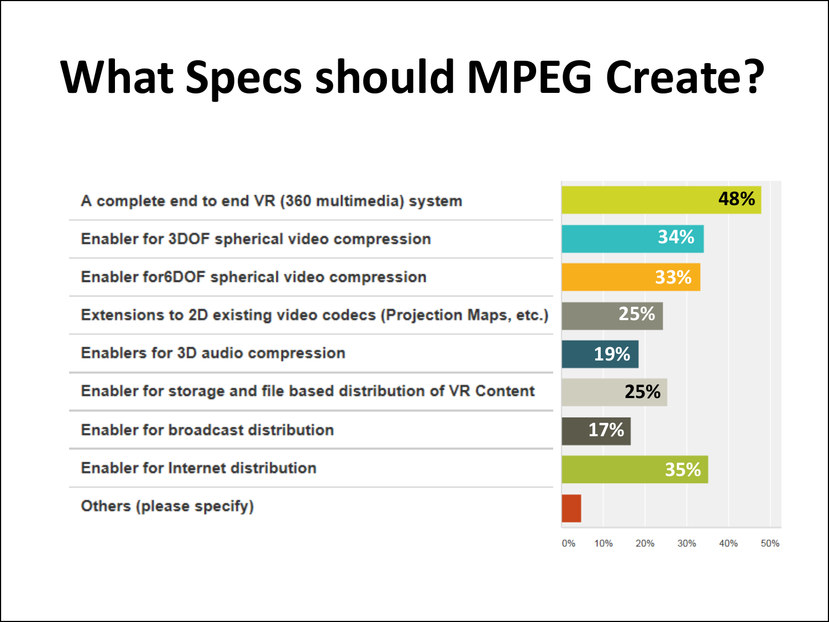# **What Specs should MPEG Create?**